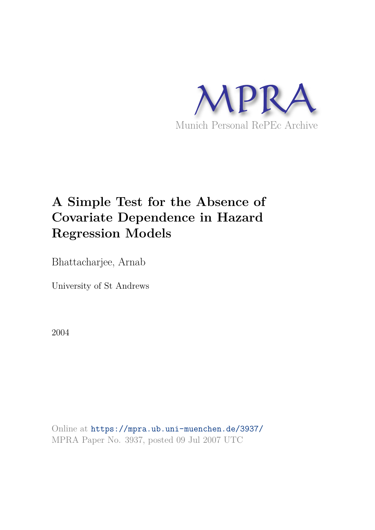

# **A Simple Test for the Absence of Covariate Dependence in Hazard Regression Models**

Bhattacharjee, Arnab

University of St Andrews

2004

Online at https://mpra.ub.uni-muenchen.de/3937/ MPRA Paper No. 3937, posted 09 Jul 2007 UTC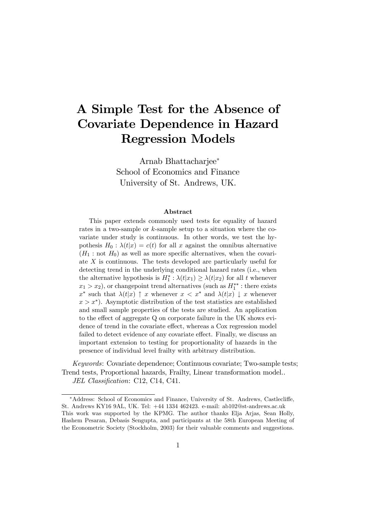# A Simple Test for the Absence of Covariate Dependence in Hazard Regression Models

Arnab Bhattacharjee<sup>\*</sup> School of Economics and Finance University of St. Andrews, UK.

#### Abstract

This paper extends commonly used tests for equality of hazard rates in a two-sample or  $k$ -sample setup to a situation where the covariate under study is continuous. In other words, we test the hypothesis  $H_0 : \lambda(t|x) = c(t)$  for all x against the omnibus alternative  $(H_1: \text{not } H_0)$  as well as more specific alternatives, when the covariate  $X$  is continuous. The tests developed are particularly useful for detecting trend in the underlying conditional hazard rates (i.e., when the alternative hypothesis is  $H_1^*$ :  $\lambda(t|x_1) \geq \lambda(t|x_2)$  for all  $t$  whenever  $x_1 > x_2$ , or changepoint trend alternatives (such as  $H_1^{**}$ : there exists  $x^*$  such that  $\lambda(t|x)$   $\uparrow$  x whenever  $x < x^*$  and  $\lambda(t|x) \downarrow x$  whenever  $x > x^*$ ). Asymptotic distribution of the test statistics are established and small sample properties of the tests are studied. An application to the effect of aggregate  $Q$  on corporate failure in the UK shows evidence of trend in the covariate effect, whereas a Cox regression model failed to detect evidence of any covariate effect. Finally, we discuss an important extension to testing for proportionality of hazards in the presence of individual level frailty with arbitrary distribution.

*Keywords*: Covariate dependence; Continuous covariate; Two-sample tests; Trend tests, Proportional hazards, Frailty, Linear transformation model.. *JEL Classification*: C12, C14, C41.

<sup>¤</sup>Address: School of Economics and Finance, University of St. Andrews, Castlecli¤e, St. Andrews KY16 9AL, UK. Tel: +44 1334 462423. e-mail: ab102@st-andrews.ac.uk This work was supported by the KPMG. The author thanks Elja Arjas, Sean Holly, Hashem Pesaran, Debasis Sengupta, and participants at the 58th European Meeting of the Econometric Society (Stockholm, 2003) for their valuable comments and suggestions.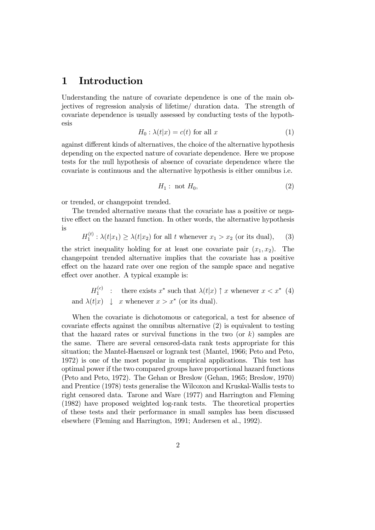## 1 Introduction

Understanding the nature of covariate dependence is one of the main objectives of regression analysis of lifetime/ duration data. The strength of covariate dependence is usually assessed by conducting tests of the hypothesis

$$
H_0: \lambda(t|x) = c(t) \text{ for all } x \tag{1}
$$

against different kinds of alternatives, the choice of the alternative hypothesis depending on the expected nature of covariate dependence. Here we propose tests for the null hypothesis of absence of covariate dependence where the covariate is continuous and the alternative hypothesis is either omnibus i.e.

$$
H_1: \text{ not } H_0,\tag{2}
$$

or trended, or changepoint trended.

The trended alternative means that the covariate has a positive or negative effect on the hazard function. In other words, the alternative hypothesis is

$$
H_1^{(t)}: \lambda(t|x_1) \ge \lambda(t|x_2)
$$
 for all  $t$  whenever  $x_1 > x_2$  (or its dual), (3)

the strict inequality holding for at least one covariate pair  $(x_1, x_2)$ . The changepoint trended alternative implies that the covariate has a positive effect on the hazard rate over one region of the sample space and negative effect over another. A typical example is:

$$
H_1^{(c)}: \quad \text{there exists } x^* \text{ such that } \lambda(t|x) \uparrow x \text{ whenever } x < x^* \tag{4}
$$
\n
$$
\text{and } \lambda(t|x) \downarrow x \text{ whenever } x > x^* \text{ (or its dual)}.
$$

When the covariate is dichotomous or categorical, a test for absence of covariate effects against the omnibus alternative  $(2)$  is equivalent to testing that the hazard rates or survival functions in the two (or  $k$ ) samples are the same. There are several censored-data rank tests appropriate for this situation; the Mantel-Haenszel or logrank test (Mantel, 1966; Peto and Peto, 1972) is one of the most popular in empirical applications. This test has optimal power if the two compared groups have proportional hazard functions (Peto and Peto, 1972). The Gehan or Breslow (Gehan, 1965; Breslow, 1970) and Prentice (1978) tests generalise the Wilcoxon and Kruskal-Wallis tests to right censored data. Tarone and Ware (1977) and Harrington and Fleming (1982) have proposed weighted log-rank tests. The theoretical properties of these tests and their performance in small samples has been discussed elsewhere (Fleming and Harrington, 1991; Andersen et al., 1992).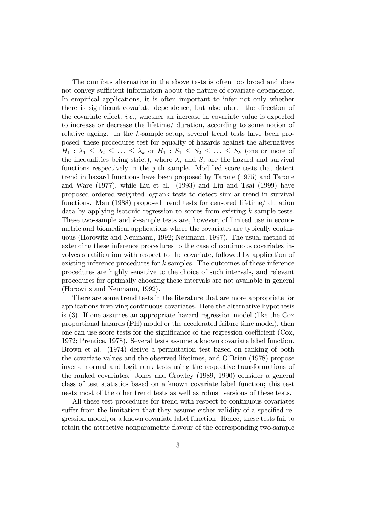The omnibus alternative in the above tests is often too broad and does not convey sufficient information about the nature of covariate dependence. In empirical applications, it is often important to infer not only whether there is significant covariate dependence, but also about the direction of the covariate effect, *i.e.*, whether an increase in covariate value is expected to increase or decrease the lifetime/ duration, according to some notion of relative ageing. In the  $k$ -sample setup, several trend tests have been proposed; these procedures test for equality of hazards against the alternatives  $H_1: \lambda_1 \leq \lambda_2 \leq \ldots \leq \lambda_k$  or  $H_1: S_1 \leq S_2 \leq \ldots \leq S_k$  (one or more of the inequalities being strict), where  $\lambda_i$  and  $S_i$  are the hazard and survival functions respectively in the  $j$ -th sample. Modified score tests that detect trend in hazard functions have been proposed by Tarone (1975) and Tarone and Ware (1977), while Liu et al. (1993) and Liu and Tsai (1999) have proposed ordered weighted logrank tests to detect similar trend in survival functions. Mau (1988) proposed trend tests for censored lifetime/ duration data by applying isotonic regression to scores from existing  $k$ -sample tests. These two-sample and  $k$ -sample tests are, however, of limited use in econometric and biomedical applications where the covariates are typically continuous (Horowitz and Neumann, 1992; Neumann, 1997). The usual method of extending these inference procedures to the case of continuous covariates involves stratification with respect to the covariate, followed by application of existing inference procedures for  $k$  samples. The outcomes of these inference procedures are highly sensitive to the choice of such intervals, and relevant procedures for optimally choosing these intervals are not available in general (Horowitz and Neumann, 1992).

There are some trend tests in the literature that are more appropriate for applications involving continuous covariates. Here the alternative hypothesis is (3). If one assumes an appropriate hazard regression model (like the Cox proportional hazards (PH) model or the accelerated failure time model), then one can use score tests for the significance of the regression coefficient  $(Cox,$ 1972; Prentice, 1978). Several tests assume a known covariate label function. Brown et al. (1974) derive a permutation test based on ranking of both the covariate values and the observed lifetimes, and O'Brien (1978) propose inverse normal and logit rank tests using the respective transformations of the ranked covariates. Jones and Crowley (1989, 1990) consider a general class of test statistics based on a known covariate label function; this test nests most of the other trend tests as well as robust versions of these tests.

All these test procedures for trend with respect to continuous covariates suffer from the limitation that they assume either validity of a specified regression model, or a known covariate label function. Hence, these tests fail to retain the attractive nonparametric flavour of the corresponding two-sample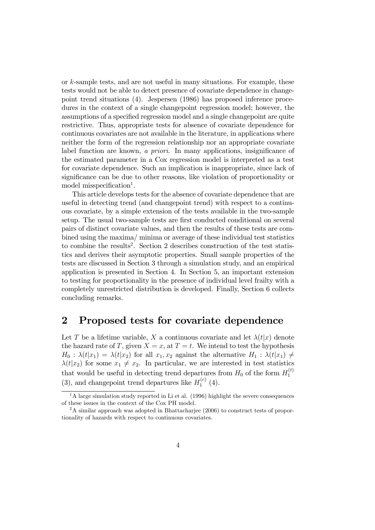or  $k$ -sample tests, and are not useful in many situations. For example, these tests would not be able to detect presence of covariate dependence in changepoint trend situations (4). Jespersen (1986) has proposed inference procedures in the context of a single changepoint regression model; however, the assumptions of a specified regression model and a single changepoint are quite restrictive. Thus, appropriate tests for absence of covariate dependence for continuous covariates are not available in the literature, in applications where neither the form of the regression relationship nor an appropriate covariate label function are known, *a priori*. In many applications, insignificance of the estimated parameter in a Cox regression model is interpreted as a test for covariate dependence. Such an implication is inappropriate, since lack of significance can be due to other reasons, like violation of proportionality or model misspecification<sup>1</sup>.

This article develops tests for the absence of covariate dependence that are useful in detecting trend (and changepoint trend) with respect to a continuous covariate, by a simple extension of the tests available in the two-sample setup. The usual two-sample tests are first conducted conditional on several pairs of distinct covariate values, and then the results of these tests are combined using the maxima/ minima or average of these individual test statistics to combine the results<sup>2</sup>. Section 2 describes construction of the test statistics and derives their asymptotic properties. Small sample properties of the tests are discussed in Section 3 through a simulation study, and an empirical application is presented in Section 4. In Section 5, an important extension to testing for proportionality in the presence of individual level frailty with a completely unrestricted distribution is developed. Finally, Section 6 collects concluding remarks.

### 2 Proposed tests for covariate dependence

Let T be a lifetime variable, X a continuous covariate and let  $\lambda(t|x)$  denote the hazard rate of T, given  $X = x$ , at  $T = t$ . We intend to test the hypothesis  $H_0 : \lambda(t|x_1) = \lambda(t|x_2)$  for all  $x_1, x_2$  against the alternative  $H_1 : \lambda(t|x_1) \neq$  $\lambda(t|x_2)$  for some  $x_1 \neq x_2$ . In particular, we are interested in test statistics that would be useful in detecting trend departures from  $H_0$  of the form  $H_1^{(t)}$ 1 (3), and changepoint trend departures like  $H_1^{(c)}$  $1^{(c)}(4).$ 

<sup>&</sup>lt;sup>1</sup>A large simulation study reported in Li et al. (1996) highlight the severe consequences of these issues in the context of the Cox PH model.

<sup>2</sup>A similar approach was adopted in Bhattacharjee (2006) to construct tests of proportionality of hazards with respect to continuous covariates.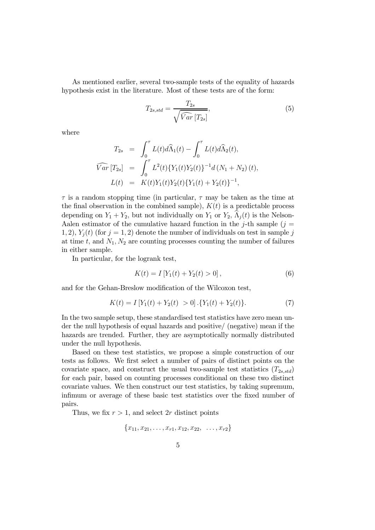As mentioned earlier, several two-sample tests of the equality of hazards hypothesis exist in the literature. Most of these tests are of the form:

$$
T_{2s, std} = \frac{T_{2s}}{\sqrt{\widehat{Var}\left[T_{2s}\right]}},\tag{5}
$$

where

$$
T_{2s} = \int_0^{\tau} L(t) d\hat{\Lambda}_1(t) - \int_0^{\tau} L(t) d\hat{\Lambda}_2(t),
$$
  

$$
\widehat{Var}[T_{2s}] = \int_0^{\tau} L^2(t) \{ Y_1(t) Y_2(t) \}^{-1} d(N_1 + N_2) (t),
$$
  

$$
L(t) = K(t) Y_1(t) Y_2(t) \{ Y_1(t) + Y_2(t) \}^{-1},
$$

 $\tau$  is a random stopping time (in particular,  $\tau$  may be taken as the time at the final observation in the combined sample),  $K(t)$  is a predictable process depending on  $Y_1 + Y_2$ , but not individually on  $Y_1$  or  $Y_2$ ,  $\Lambda_j(t)$  is the Nelson-Aalen estimator of the cumulative hazard function in the j-th sample  $(j =$ 1, 2),  $Y_i(t)$  (for  $j = 1, 2$ ) denote the number of individuals on test in sample j at time  $t$ , and  $N_1, N_2$  are counting processes counting the number of failures in either sample.

In particular, for the logrank test,

$$
K(t) = I[Y_1(t) + Y_2(t) > 0],
$$
\n(6)

and for the Gehan-Breslow modification of the Wilcoxon test,

$$
K(t) = I[Y_1(t) + Y_2(t) > 0] \cdot \{Y_1(t) + Y_2(t)\}.
$$
\n(7)

In the two sample setup, these standardised test statistics have zero mean under the null hypothesis of equal hazards and positive/ (negative) mean if the hazards are trended. Further, they are asymptotically normally distributed under the null hypothesis.

Based on these test statistics, we propose a simple construction of our tests as follows. We first select a number of pairs of distinct points on the covariate space, and construct the usual two-sample test statistics  $(T_{2s, std})$ for each pair, based on counting processes conditional on these two distinct covariate values. We then construct our test statistics, by taking supremum, in fimum or average of these basic test statistics over the fixed number of pairs.

Thus, we fix  $r > 1$ , and select 2r distinct points

$$
\{x_{11}, x_{21}, \ldots, x_{r1}, x_{12}, x_{22}, \ldots, x_{r2}\}\
$$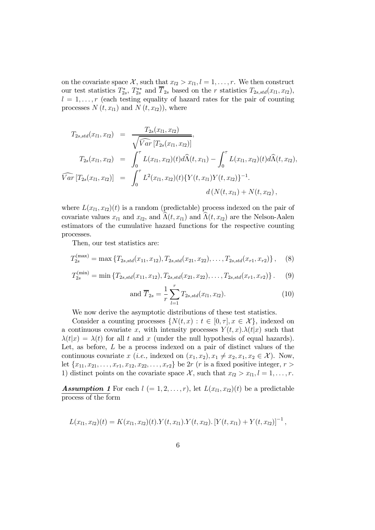on the covariate space  $\mathcal{X}$ , such that  $x_{l2} > x_{l1}$ ,  $l = 1, \ldots, r$ . We then construct our test statistics  $T_{2}^*$  $T_{2s}^*$ ,  $T_{2s}^{**}$  and  $\overline{T}_{2s}$  based on the *r* statistics  $T_{2s, std}(x_{l1}, x_{l2}),$  $l = 1, \ldots, r$  (each testing equality of hazard rates for the pair of counting processes  $N(t, x_{l1})$  and  $N(t, x_{l2})$ , where

$$
T_{2s, std}(x_{l1}, x_{l2}) = \frac{T_{2s}(x_{l1}, x_{l2})}{\sqrt{\widehat{Var}[T_{2s}(x_{l1}, x_{l2})]}},
$$
  
\n
$$
T_{2s}(x_{l1}, x_{l2}) = \int_0^{\tau} L(x_{l1}, x_{l2})(t) d\widehat{\Lambda}(t, x_{l1}) - \int_0^{\tau} L(x_{l1}, x_{l2})(t) d\widehat{\Lambda}(t, x_{l2}),
$$
  
\n
$$
\widehat{Var}[T_{2s}(x_{l1}, x_{l2})] = \int_0^{\tau} L^2(x_{l1}, x_{l2})(t) \{Y(t, x_{l1})Y(t, x_{l2})\}^{-1}.
$$
  
\n
$$
d(N(t, x_{l1}) + N(t, x_{l2}),
$$

where  $L(x_{l_1}, x_{l_2})(t)$  is a random (predictable) process indexed on the pair of covariate values  $x_{l1}$  and  $x_{l2}$ , and  $\widehat{\Lambda}(t, x_{l1})$  and  $\widehat{\Lambda}(t, x_{l2})$  are the Nelson-Aalen estimators of the cumulative hazard functions for the respective counting processes.

Then, our test statistics are:

$$
T_{2s}^{(\text{max})} = \max \left\{ T_{2s, std}(x_{11}, x_{12}), T_{2s, std}(x_{21}, x_{22}), \dots, T_{2s, std}(x_{r1}, x_{r2}) \right\}, \quad (8)
$$

$$
T_{2s}^{(\min)} = \min \{T_{2s, std}(x_{11}, x_{12}), T_{2s, std}(x_{21}, x_{22}), \dots, T_{2s, std}(x_{r1}, x_{r2})\}.
$$
 (9)

and 
$$
\overline{T}_{2s} = \frac{1}{r} \sum_{l=1}^{r} T_{2s, std}(x_{l1}, x_{l2}).
$$
 (10)

We now derive the asymptotic distributions of these test statistics.

Consider a counting processes  $\{ N(t, x) : t \in [0, \tau], x \in \mathcal{X} \}$ , indexed on a continuous covariate x, with intensity processes  $Y(t, x) \lambda(t|x)$  such that  $\lambda(t|x) = \lambda(t)$  for all t and x (under the null hypothesis of equal hazards). Let, as before,  $L$  be a process indexed on a pair of distinct values of the continuous covariate x (*i.e.*, indexed on  $(x_1, x_2), x_1 \neq x_2, x_1, x_2 \in \mathcal{X}$ ). Now, let  ${x_{11}, x_{21}, \ldots, x_{r1}, x_{12}, x_{22}, \ldots, x_{r2}}$  be 2r (*r* is a fixed positive integer, *r* > 1) distinct points on the covariate space X, such that  $x_{l2} > x_{l1}$ ,  $l = 1, \ldots, r$ .

**Assumption 1** For each  $l (= 1, 2, \ldots, r)$ , let  $L(x_{l_1}, x_{l_2})(t)$  be a predictable process of the form

$$
L(x_{l1}, x_{l2})(t) = K(x_{l1}, x_{l2})(t) \cdot Y(t, x_{l1}) \cdot Y(t, x_{l2}) \cdot [Y(t, x_{l1}) + Y(t, x_{l2})]^{-1},
$$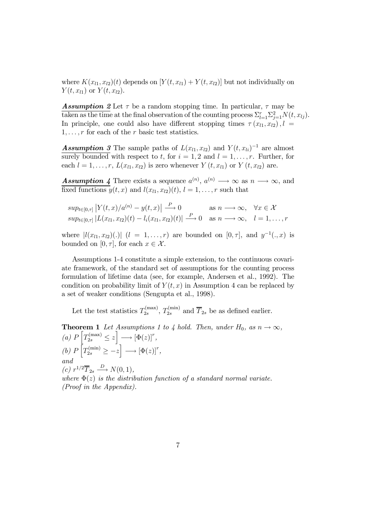where  $K(x_{l1}, x_{l2})(t)$  depends on  $[Y(t, x_{l1}) + Y(t, x_{l2})]$  but not individually on  $Y(t, x_{l1})$  or  $Y(t, x_{l2}).$ 

**Assumption** 2 Let  $\tau$  be a random stopping time. In particular,  $\tau$  may be taken as the time at the final observation of the counting process  $\sum_{l=1}^{r} \sum_{j=1}^{2} N(t, x_{lj}).$ In principle, one could also have different stopping times  $\tau(x_{l_1}, x_{l_2})$ ,  $l =$  $1, \ldots, r$  for each of the r basic test statistics.

**Assumption** 3 The sample paths of  $L(x_{l1}, x_{l2})$  and  $Y(t, x_{li})^{-1}$  are almost surely bounded with respect to t, for  $i = 1, 2$  and  $l = 1, \ldots, r$ . Further, for each  $l = 1, ..., r$ ,  $L(x_{l1}, x_{l2})$  is zero whenever  $Y(t, x_{l1})$  or  $Y(t, x_{l2})$  are.

**Assumption 4** There exists a sequence  $a^{(n)}$ ,  $a^{(n)} \longrightarrow \infty$  as  $n \longrightarrow \infty$ , and fixed functions  $y(t, x)$  and  $l(x_{l1}, x_{l2})(t), l = 1, \ldots, r$  such that

$$
sup_{t\in[0,\tau]}|Y(t,x)/a^{(n)} - y(t,x)| \xrightarrow{P} 0 \qquad \text{as } n \longrightarrow \infty, \quad \forall x \in \mathcal{X}
$$
  
\n
$$
sup_{t\in[0,\tau]}|L(x_{l1},x_{l2})(t) - l_i(x_{l1},x_{l2})(t)| \xrightarrow{P} 0 \quad \text{as } n \longrightarrow \infty, \quad l = 1,\ldots,r
$$

where  $|l(x_{l1}, x_{l2})(.)|$   $(l = 1, ..., r)$  are bounded on  $[0, \tau]$ , and  $y^{-1}(., x)$  is bounded on  $[0, \tau]$ , for each  $x \in \mathcal{X}$ .

Assumptions 1-4 constitute a simple extension, to the continuous covariate framework, of the standard set of assumptions for the counting process formulation of lifetime data (see, for example, Andersen et al., 1992). The condition on probability limit of  $Y(t, x)$  in Assumption 4 can be replaced by a set of weaker conditions (Sengupta et al., 1998).

Let the test statistics  $T_{2s}^{(\text{max})}$  $T_{2s}^{(\text{max})}$ ,  $T_{2s}^{(\text{min})}$  and  $\overline{T}_{2s}$  be as defined earlier.

**Theorem 1** Let Assumptions 1 to 4 hold. Then, under  $H_0$ , as  $n \to \infty$ ,  $(a)$   $P\left[T_{2s}^{(\text{max})} \leq z\right] \longrightarrow \left[\Phi(z)\right]^{r},$ *(b)*  $P\left[T_{2s}^{\text{(min)}} \geq -z\right] \longrightarrow \left[\Phi(z)\right]^r$ , *and*  $(c)$   $r^{1/2}\overline{T}_{2s} \xrightarrow{D} N(0,1),$ *where*  $\Phi(z)$  *is the distribution function of a standard normal variate. (Proof in the Appendix).*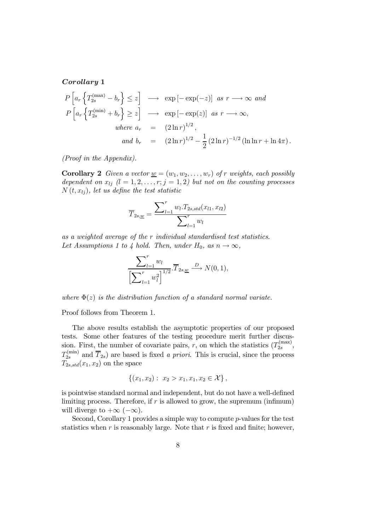Corollary 1

$$
P\left[a_r\left\{T_{2s}^{(\max)} - b_r\right\} \leq z\right] \longrightarrow \exp\left[-\exp(-z)\right] \text{ as } r \longrightarrow \infty \text{ and}
$$
  
\n
$$
P\left[a_r\left\{T_{2s}^{(\min)} + b_r\right\} \geq z\right] \longrightarrow \exp\left[-\exp(z)\right] \text{ as } r \longrightarrow \infty,
$$
  
\nwhere  $a_r = (2 \ln r)^{1/2},$   
\nand  $b_r = (2 \ln r)^{1/2} - \frac{1}{2}(2 \ln r)^{-1/2}(\ln \ln r + \ln 4\pi).$ 

*(Proof in the Appendix).*

**Corollary 2** *Given a vector*  $\underline{w} = (w_1, w_2, \dots, w_r)$  *of r weights, each possibly dependent on*  $x_{lj}$   $(l = 1, 2, \ldots, r; j = 1, 2)$  but not on the counting processes  $N(t, x_{ij})$ , let us define the test statistic

$$
\overline{T}_{2s,\underline{w}} = \frac{\sum_{l=1}^{r} w_l \cdot T_{2s,std}(x_{l1}, x_{l2})}{\sum_{l=1}^{r} w_l}
$$

*as a weighted average of the individual standardised test statistics.* Let Assumptions 1 to 4 hold. Then, under  $H_0$ , as  $n \to \infty$ ,

$$
\frac{\sum_{l=1}^r w_l}{\left[\sum_{l=1}^r w_l^2\right]^{1/2}} \cdot \overline{T}_{2s,\underline{w}} \stackrel{D}{\longrightarrow} N(0,1),
$$

where  $\Phi(z)$  *is the distribution function of a standard normal variate.* 

Proof follows from Theorem 1.

The above results establish the asymptotic properties of our proposed tests. Some other features of the testing procedure merit further discussion. First, the number of covariate pairs, r, on which the statistics  $(T_{2s}^{(\text{max})})$  $\frac{2s}{2s}$ ,  $T_{2s}^{(\text{min})}$  and  $\overline{T}_{2s}$ ) are based is fixed *a priori*. This is crucial, since the process  $T_{2s, std}(x_1, x_2)$  on the space

$$
\{(x_1,x_2): x_2 > x_1, x_1, x_2 \in \mathcal{X}\},\
$$

is pointwise standard normal and independent, but do not have a well-defined limiting process. Therefore, if  $r$  is allowed to grow, the supremum (infimum) will diverge to  $+\infty$  ( $-\infty$ ).

Second, Corollary 1 provides a simple way to compute  $p$ -values for the test statistics when  $r$  is reasonably large. Note that  $r$  is fixed and finite; however,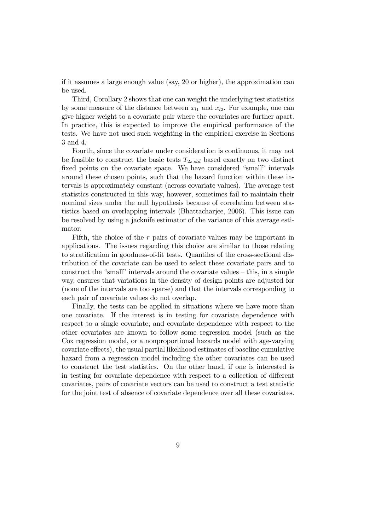if it assumes a large enough value (say, 20 or higher), the approximation can be used.

Third, Corollary 2 shows that one can weight the underlying test statistics by some measure of the distance between  $x_{l1}$  and  $x_{l2}$ . For example, one can give higher weight to a covariate pair where the covariates are further apart. In practice, this is expected to improve the empirical performance of the tests. We have not used such weighting in the empirical exercise in Sections 3 and 4.

Fourth, since the covariate under consideration is continuous, it may not be feasible to construct the basic tests  $T_{2s, std}$  based exactly on two distinct fixed points on the covariate space. We have considered "small" intervals around these chosen points, such that the hazard function within these intervals is approximately constant (across covariate values). The average test statistics constructed in this way, however, sometimes fail to maintain their nominal sizes under the null hypothesis because of correlation between statistics based on overlapping intervals (Bhattacharjee, 2006). This issue can be resolved by using a jacknife estimator of the variance of this average estimator.

Fifth, the choice of the  $r$  pairs of covariate values may be important in applications. The issues regarding this choice are similar to those relating to stratification in goodness-of-fit tests. Quantiles of the cross-sectional distribution of the covariate can be used to select these covariate pairs and to construct the "small" intervals around the covariate values – this, in a simple way, ensures that variations in the density of design points are adjusted for (none of the intervals are too sparse) and that the intervals corresponding to each pair of covariate values do not overlap.

Finally, the tests can be applied in situations where we have more than one covariate. If the interest is in testing for covariate dependence with respect to a single covariate, and covariate dependence with respect to the other covariates are known to follow some regression model (such as the Cox regression model, or a nonproportional hazards model with age-varying covariate effects), the usual partial likelihood estimates of baseline cumulative hazard from a regression model including the other covariates can be used to construct the test statistics. On the other hand, if one is interested is in testing for covariate dependence with respect to a collection of different covariates, pairs of covariate vectors can be used to construct a test statistic for the joint test of absence of covariate dependence over all these covariates.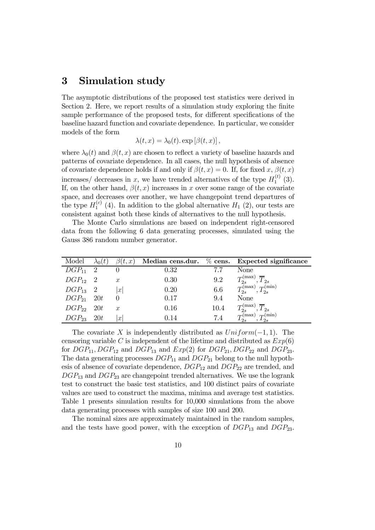# 3 Simulation study

The asymptotic distributions of the proposed test statistics were derived in Section 2. Here, we report results of a simulation study exploring the finite sample performance of the proposed tests, for different specifications of the baseline hazard function and covariate dependence. In particular, we consider models of the form

$$
\lambda(t,x) = \lambda_0(t) \exp [\beta(t,x)],
$$

where  $\lambda_0(t)$  and  $\beta(t, x)$  are chosen to reflect a variety of baseline hazards and patterns of covariate dependence. In all cases, the null hypothesis of absence of covariate dependence holds if and only if  $\beta(t, x) = 0$ . If, for fixed x,  $\beta(t, x)$ increases/ decreases in x, we have trended alternatives of the type  $H_1^{(t)}$  $\binom{(\iota)}{1}$   $(3)$ . If, on the other hand,  $\beta(t, x)$  increases in x over some range of the covariate space, and decreases over another, we have changepoint trend departures of the type  $H_1^{(c)}$  $I_1^{(c)}$  (4). In addition to the global alternative  $H_1$  (2), our tests are consistent against both these kinds of alternatives to the null hypothesis.

The Monte Carlo simulations are based on independent right-censored data from the following 6 data generating processes, simulated using the Gauss 386 random number generator.

| Model          | $\lambda_0(t)$ | $\beta(t,x)$     |      |      | Median cens.dur. $\%$ cens. Expected significance                |
|----------------|----------------|------------------|------|------|------------------------------------------------------------------|
| $DGP_{11}$ 2   |                |                  | 0.32 | 77   | None                                                             |
| $DGP_{12}$ 2   |                | $\boldsymbol{x}$ | 0.30 | 9.2  | $T_{2s}^{(\max)}, \overline{T}_{2s}$                             |
| $DGP_{13}$ 2   |                | x                | 0.20 | 6.6  | $\widetilde{T^{(\rm max)}_{2s}}, \widetilde{T^{(\rm min)}_{2s}}$ |
| $DGP_{21}$ 20t |                |                  | 0.17 | 9.4  | None                                                             |
| $DGP_{22}$     | 20t            | $\boldsymbol{x}$ | 0.16 | 10.4 | $T_{2s}^{(\max)}, \overline{T}_{2s}$                             |
| $DGP_{23}$ 20t |                | $\boldsymbol{x}$ | 0.14 | 7.4  | $T_{2s}^{(\max)}, T_{2s}^{(\min)}$                               |

The covariate X is independently distributed as  $Uniform(-1, 1)$ . The censoring variable C is independent of the lifetime and distributed as  $Exp(6)$ for  $DGP_{11}$ ,  $DGP_{12}$  and  $DGP_{13}$  and  $Exp(2)$  for  $DGP_{21}$ ,  $DGP_{22}$  and  $DGP_{23}$ . The data generating processes  $DGP_{11}$  and  $DGP_{21}$  belong to the null hypothesis of absence of covariate dependence,  $DGP_{12}$  and  $DGP_{22}$  are trended, and  $DGP_{13}$  and  $DGP_{23}$  are changepoint trended alternatives. We use the logrank test to construct the basic test statistics, and 100 distinct pairs of covariate values are used to construct the maxima, minima and average test statistics. Table 1 presents simulation results for 10,000 simulations from the above data generating processes with samples of size 100 and 200.

The nominal sizes are approximately maintained in the random samples, and the tests have good power, with the exception of  $DGP_{13}$  and  $DGP_{23}$ .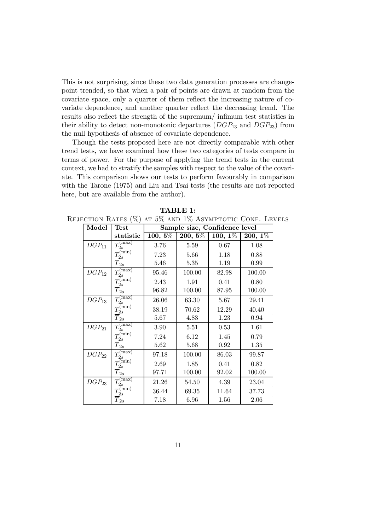This is not surprising, since these two data generation processes are changepoint trended, so that when a pair of points are drawn at random from the covariate space, only a quarter of them reflect the increasing nature of covariate dependence, and another quarter reflect the decreasing trend. The results also reflect the strength of the supremum/ infimum test statistics in their ability to detect non-monotonic departures  $(DGP_{13}$  and  $DGP_{23})$  from the null hypothesis of absence of covariate dependence.

Though the tests proposed here are not directly comparable with other trend tests, we have examined how these two categories of tests compare in terms of power. For the purpose of applying the trend tests in the current context, we had to stratify the samples with respect to the value of the covariate. This comparison shows our tests to perform favourably in comparison with the Tarone (1975) and Liu and Tsai tests (the results are not reported here, but are available from the author).

| Model      | <b>Test</b>                                   | Sample size, Confidence level |                        |            |            |
|------------|-----------------------------------------------|-------------------------------|------------------------|------------|------------|
|            | statistic                                     | $\overline{100, 5\%}$         | $\overline{200,\,5\%}$ | $100, 1\%$ | $200, 1\%$ |
| $DGP_{11}$ | $T_{2s}^{(\rm max)}$                          | 3.76                          | 5.59                   | 0.67       | 1.08       |
|            | $T_{2s}^{\rm (min)}$                          | 7.23                          | 5.66                   | 1.18       | 0.88       |
|            | $\overline{T}_{2s}$                           | 5.46                          | 5.35                   | 1.19       | 0.99       |
| $DGP_{12}$ | $T_{2s}^{\overline{\text{(max)}}}$            | 95.46                         | 100.00                 | 82.98      | 100.00     |
|            | $\bar{T_{2s}^{\rm (min)}}$                    | 2.43                          | 1.91                   | 0.41       | 0.80       |
|            | $\overline{T}_{2s}$                           | 96.82                         | 100.00                 | 87.95      | 100.00     |
| $DGP_{13}$ | $T_{2s}^{(\rm max)}$                          | 26.06                         | 63.30                  | 5.67       | 29.41      |
|            | $T_{2s}^{(\rm min)}$                          | 38.19                         | 70.62                  | 12.29      | 40.40      |
|            | $\overline{T}_{2s}$                           | 5.67                          | 4.83                   | 1.23       | 0.94       |
| $DGP_{21}$ | $T_{2s}^{(\rm max)}$                          | 3.90                          | 5.51                   | 0.53       | 1.61       |
|            | $\mathcal{I}^{(\mbox{\scriptsize min})}_{2s}$ | 7.24                          | 6.12                   | 1.45       | 0.79       |
|            | $\overline{T}_{2s}$                           | 5.62                          | 5.68                   | 0.92       | 1.35       |
| $DGP_{22}$ | $T_{2s}^{(\overline{\text{max}})}$            | 97.18                         | 100.00                 | 86.03      | 99.87      |
|            | $T_{2s}^{\rm (min)}$                          | 2.69                          | 1.85                   | 0.41       | 0.82       |
|            | $\overline{T}_{2s}$                           | 97.71                         | 100.00                 | 92.02      | 100.00     |
| $DGP_{23}$ | $T_{2s}^{(\mathrm{max})}$                     | 21.26                         | 54.50                  | 4.39       | 23.04      |
|            | $T_{2s}^{(\rm min)}$                          | 36.44                         | 69.35                  | 11.64      | 37.73      |
|            | $\overline{T}_{2s}$                           | 7.18                          | 6.96                   | 1.56       | 2.06       |

Rejection Rates (%) at 5% and 1% Asymptotic Conf. Levels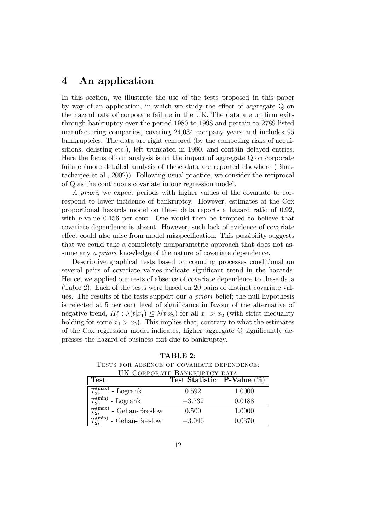# 4 An application

In this section, we illustrate the use of the tests proposed in this paper by way of an application, in which we study the effect of aggregate  $Q$  on the hazard rate of corporate failure in the UK. The data are on firm exits through bankruptcy over the period 1980 to 1998 and pertain to 2789 listed manufacturing companies, covering 24,034 company years and includes 95 bankruptcies. The data are right censored (by the competing risks of acquisitions, delisting etc.), left truncated in 1980, and contain delayed entries. Here the focus of our analysis is on the impact of aggregate Q on corporate failure (more detailed analysis of these data are reported elsewhere (Bhattacharjee et al., 2002)). Following usual practice, we consider the reciprocal of Q as the continuous covariate in our regression model.

*A priori*, we expect periods with higher values of the covariate to correspond to lower incidence of bankruptcy. However, estimates of the Cox proportional hazards model on these data reports a hazard ratio of 0.92, with  $p$ -value 0.156 per cent. One would then be tempted to believe that covariate dependence is absent. However, such lack of evidence of covariate effect could also arise from model misspecification. This possibility suggests that we could take a completely nonparametric approach that does not assume any *a priori* knowledge of the nature of covariate dependence.

Descriptive graphical tests based on counting processes conditional on several pairs of covariate values indicate significant trend in the hazards. Hence, we applied our tests of absence of covariate dependence to these data (Table 2). Each of the tests were based on 20 pairs of distinct covariate values. The results of the tests support our *a priori* belief; the null hypothesis is rejected at 5 per cent level of significance in favour of the alternative of negative trend,  $H_1^*$ :  $\lambda(t|x_1) \leq \lambda(t|x_2)$  for all  $x_1 > x_2$  (with strict inequality holding for some  $x_1 > x_2$ ). This implies that, contrary to what the estimates of the Cox regression model indicates, higher aggregate  $Q$  significantly depresses the hazard of business exit due to bankruptcy.

TABLE 2: Tests for absence of covariate dependence:  $U^{IV}$  Corporate Bankruptcy part

| <b>Test</b>                             | UN CORPORATE BANKRUPTCY DATA<br>Test Statistic P-Value $(\%)$ |        |
|-----------------------------------------|---------------------------------------------------------------|--------|
| $\varGamma^{(\max)}_{2s}$<br>- Logrank  | 0.592                                                         | 1.0000 |
| $T_{\rm s}^{\rm (min)}$<br>- Logrank    | $-3.732$                                                      | 0.0188 |
| $T_c^{\text{(max)}}$<br>- Gehan-Breslow | 0.500                                                         | 1.0000 |
| $T_{2s}^{(\min)}$<br>- Gehan-Breslow    | $-3.046$                                                      | 0.0370 |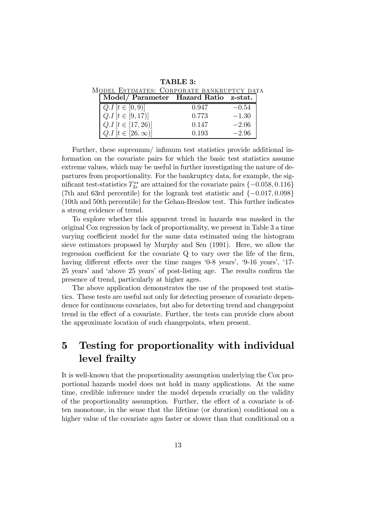TABLE 3:

| MODEL ESTIMATES: CORPORATE BANKRUPTCY DATA |  |
|--------------------------------------------|--|
| Model/ Parameter Hazard Ratio z-stat.      |  |
|                                            |  |

| $Q.I[t \in [0,9)]$        | 0.947 | $-0.54$ |
|---------------------------|-------|---------|
| $Q.I[t \in [9, 17)]$      | 0.773 | $-1.30$ |
| $Q.I[t \in [17, 26)]$     | 0.147 | $-2.06$ |
| $Q.I[t \in [26, \infty)]$ | 0.193 | $-2.96$ |

Further, these supremum/ infimum test statistics provide additional information on the covariate pairs for which the basic test statistics assume extreme values, which may be useful in further investigating the nature of departures from proportionality. For the bankruptcy data, for example, the significant test-statistics  $T_{2s}^{**}$ <sup>\*\*</sup> are attained for the covariate pairs  $\{-0.058, 0.116\}$ (7th and 63rd percentile) for the logrank test statistic and  $\{-0.017, 0.098\}$ (10th and 50th percentile) for the Gehan-Breslow test. This further indicates a strong evidence of trend.

To explore whether this apparent trend in hazards was masked in the original Cox regression by lack of proportionality, we present in Table 3 a time varying coefficient model for the same data estimated using the histogram sieve estimators proposed by Murphy and Sen (1991). Here, we allow the regression coefficient for the covariate  $Q$  to vary over the life of the firm, having different effects over the time ranges '0-8 years', '9-16 years', '17-25 years' and 'above 25 years' of post-listing age. The results confirm the presence of trend, particularly at higher ages.

The above application demonstrates the use of the proposed test statistics. These tests are useful not only for detecting presence of covariate dependence for continuous covariates, but also for detecting trend and changepoint trend in the effect of a covariate. Further, the tests can provide clues about the approximate location of such changepoints, when present.

# 5 Testing for proportionality with individual level frailty

It is well-known that the proportionality assumption underlying the Cox proportional hazards model does not hold in many applications. At the same time, credible inference under the model depends crucially on the validity of the proportionality assumption. Further, the effect of a covariate is often monotone, in the sense that the lifetime (or duration) conditional on a higher value of the covariate ages faster or slower than that conditional on a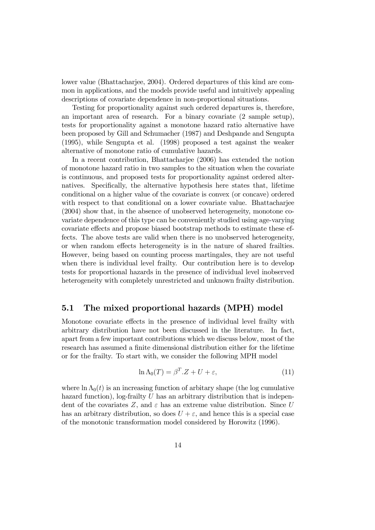lower value (Bhattacharjee, 2004). Ordered departures of this kind are common in applications, and the models provide useful and intuitively appealing descriptions of covariate dependence in non-proportional situations.

Testing for proportionality against such ordered departures is, therefore, an important area of research. For a binary covariate (2 sample setup), tests for proportionality against a monotone hazard ratio alternative have been proposed by Gill and Schumacher (1987) and Deshpande and Sengupta (1995), while Sengupta et al. (1998) proposed a test against the weaker alternative of monotone ratio of cumulative hazards.

In a recent contribution, Bhattacharjee (2006) has extended the notion of monotone hazard ratio in two samples to the situation when the covariate is continuous, and proposed tests for proportionality against ordered alternatives. Specifically, the alternative hypothesis here states that, lifetime conditional on a higher value of the covariate is convex (or concave) ordered with respect to that conditional on a lower covariate value. Bhattacharjee (2004) show that, in the absence of unobserved heterogeneity, monotone covariate dependence of this type can be conveniently studied using age-varying covariate effects and propose biased bootstrap methods to estimate these effects. The above tests are valid when there is no unobserved heterogeneity, or when random effects heterogeneity is in the nature of shared frailties. However, being based on counting process martingales, they are not useful when there is individual level frailty. Our contribution here is to develop tests for proportional hazards in the presence of individual level inobserved heterogeneity with completely unrestricted and unknown frailty distribution.

### 5.1 The mixed proportional hazards (MPH) model

Monotone covariate effects in the presence of individual level frailty with arbitrary distribution have not been discussed in the literature. In fact, apart from a few important contributions which we discuss below, most of the research has assumed a finite dimensional distribution either for the lifetime or for the frailty. To start with, we consider the following MPH model

$$
\ln \Lambda_0(T) = \beta^T \cdot Z + U + \varepsilon,\tag{11}
$$

where  $\ln \Lambda_0(t)$  is an increasing function of arbitary shape (the log cumulative hazard function), log-frailty  $U$  has an arbitrary distribution that is independent of the covariates Z, and  $\varepsilon$  has an extreme value distribution. Since U has an arbitrary distribution, so does  $U + \varepsilon$ , and hence this is a special case of the monotonic transformation model considered by Horowitz (1996).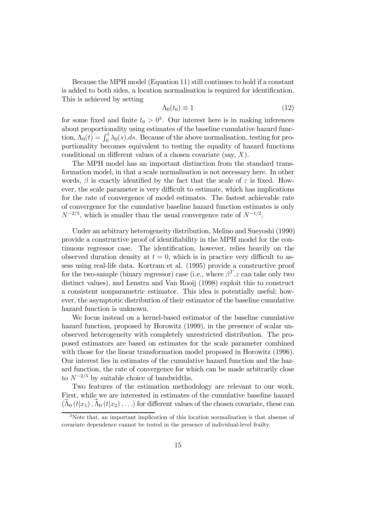Because the MPH model (Equation 11) still continues to hold if a constant is added to both sides, a location normalisation is required for identification. This is achieved by setting

$$
\Lambda_0(t_0) \equiv 1 \tag{12}
$$

for some fixed and finite  $t_0 > 0^3$ . Our interest here is in making inferences about proportionality using estimates of the baseline cumulative hazard function,  $\Lambda_0(t) = \int_0^t \lambda_0(s) ds$ . Because of the above normalisation, testing for proportionality becomes equivalent to testing the equality of hazard functions conditional on different values of a chosen covariate (say,  $X$ ).

The MPH model has an important distinction from the standard transformation model, in that a scale normalisation is not necessary here. In other words,  $\beta$  is exactly identified by the fact that the scale of  $\varepsilon$  is fixed. However, the scale parameter is very difficult to estimate, which has implications for the rate of convergence of model estimates. The fastest achievable rate of convergence for the cumulative baseline hazard function estimates is only  $N^{-2/5}$ , which is smaller than the usual convergence rate of  $N^{-1/2}$ .

Under an arbitrary heterogeneity distribution, Melino and Sueyoshi (1990) provide a constructive proof of identifiability in the MPH model for the continuous regressor case. The identification, however, relies heavily on the observed duration density at  $t = 0$ , which is in practice very difficult to assess using real-life data. Kortram et al. (1995) provide a constructive proof for the two-sample (binary regressor) case (i.e., where  $\beta^T.z$  can take only two distinct values), and Lenstra and Van Rooij (1998) exploit this to construct a consistent nonparametric estimator. This idea is potentially useful; however, the asymptotic distribution of their estimator of the baseline cumulative hazard function is unknown.

We focus instead on a kernel-based estimator of the baseline cumulative hazard function, proposed by Horowitz (1999), in the presence of scalar unobserved heterogeneity with completely unrestricted distribution. The proposed estimators are based on estimates for the scale parameter combined with those for the linear transformation model proposed in Horowitz  $(1996)$ . Our interest lies in estimates of the cumulative hazard function and the hazard function, the rate of convergence for which can be made arbitrarily close to  $N^{-2/5}$  by suitable choice of bandwidths.

Two features of the estimation methodology are relevant to our work. First, while we are interested in estimates of the cumulative baseline hazard  $(\widehat{\Lambda}_{0}(t|x_{1}), \widehat{\Lambda}_{0}(t|x_{2}), \ldots)$  for different values of the chosen covariate, these can

<sup>&</sup>lt;sup>3</sup>Note that, an important implication of this location normalisation is that absense of covariate dependence cannot be tested in the presence of individual-level frailty.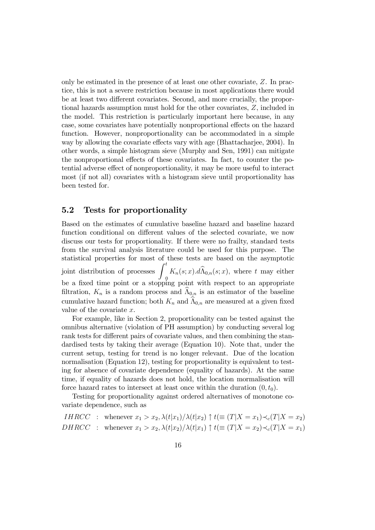only be estimated in the presence of at least one other covariate,  $Z$ . In practice, this is not a severe restriction because in most applications there would be at least two different covariates. Second, and more crucially, the proportional hazards assumption must hold for the other covariates,  $Z$ , included in the model. This restriction is particularly important here because, in any case, some covariates have potentially nonproportional effects on the hazard function. However, nonproportionality can be accommodated in a simple way by allowing the covariate effects vary with age (Bhattacharjee, 2004). In other words, a simple histogram sieve (Murphy and Sen, 1991) can mitigate the nonproportional effects of these covariates. In fact, to counter the potential adverse effect of nonproportionality, it may be more useful to interact most (if not all) covariates with a histogram sieve until proportionality has been tested for.

### 5.2 Tests for proportionality

Based on the estimates of cumulative baseline hazard and baseline hazard function conditional on different values of the selected covariate, we now discuss our tests for proportionality. If there were no frailty, standard tests from the survival analysis literature could be used for this purpose. The statistical properties for most of these tests are based on the asymptotic joint distribution of processes  $\int_0^t$  $K_n(s; x) \cdot d\Lambda_{0,n}(s; x)$ , where t may either be a fixed time point or a stopping point with respect to an appropriate filtration,  $K_n$  is a random process and  $\Lambda_{0,n}$  is an estimator of the baseline cumulative hazard function; both  $K_n$  and  $\widehat{\Lambda}_{0,n}$  are measured at a given fixed value of the covariate  $x$ .

For example, like in Section 2, proportionality can be tested against the omnibus alternative (violation of PH assumption) by conducting several log rank tests for different pairs of covariate values, and then combining the standardised tests by taking their average (Equation 10). Note that, under the current setup, testing for trend is no longer relevant. Due of the location normalisation (Equation 12), testing for proportionality is equivalent to testing for absence of covariate dependence (equality of hazards). At the same time, if equality of hazards does not hold, the location mormalisation will force hazard rates to intersect at least once within the duration  $(0, t_0)$ .

Testing for proportionality against ordered alternatives of monotone covariate dependence, such as

*IHRCC* : whenever 
$$
x_1 > x_2
$$
,  $\lambda(t|x_1)/\lambda(t|x_2) \uparrow t (\equiv (T|X = x_1) \prec_c (T|X = x_2))$   
*DHRCC* : whenever  $x_1 > x_2$ ,  $\lambda(t|x_2)/\lambda(t|x_1) \uparrow t (\equiv (T|X = x_2) \prec_c (T|X = x_1))$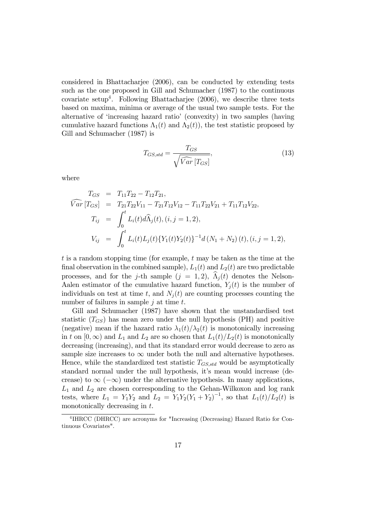considered in Bhattacharjee (2006), can be conducted by extending tests such as the one proposed in Gill and Schumacher (1987) to the continuous covariate setup<sup>4</sup>. Following Bhattacharjee  $(2006)$ , we describe three tests based on maxima, minima or average of the usual two sample tests. For the alternative of 'increasing hazard ratio' (convexity) in two samples (having cumulative hazard functions  $\Lambda_1(t)$  and  $\Lambda_2(t)$ , the test statistic proposed by Gill and Schumacher (1987) is

$$
T_{GS, std} = \frac{T_{GS}}{\sqrt{\widehat{Var}\left[T_{GS}\right]}},\tag{13}
$$

where

$$
T_{GS} = T_{11}T_{22} - T_{12}T_{21},
$$
  
\n
$$
\widehat{Var}[T_{GS}] = T_{21}T_{22}V_{11} - T_{21}T_{12}V_{12} - T_{11}T_{22}V_{21} + T_{11}T_{12}V_{22},
$$
  
\n
$$
T_{ij} = \int_0^t L_i(t)d\widehat{\Lambda}_j(t), (i, j = 1, 2),
$$
  
\n
$$
V_{ij} = \int_0^t L_i(t)L_j(t)\{Y_1(t)Y_2(t)\}^{-1}d(N_1 + N_2)(t), (i, j = 1, 2),
$$

 $t$  is a random stopping time (for example,  $t$  may be taken as the time at the final observation in the combined sample),  $L_1(t)$  and  $L_2(t)$  are two predictable processes, and for the j-th sample  $(j = 1, 2)$ ,  $\Lambda_i(t)$  denotes the Nelson-Aalen estimator of the cumulative hazard function,  $Y_i(t)$  is the number of individuals on test at time t, and  $N_i(t)$  are counting processes counting the number of failures in sample  $j$  at time  $t$ .

Gill and Schumacher (1987) have shown that the unstandardised test statistic  $(T_{GS})$  has mean zero under the null hypothesis (PH) and positive (negative) mean if the hazard ratio  $\lambda_1(t)/\lambda_2(t)$  is monotonically increasing in t on  $[0, \infty)$  and  $L_1$  and  $L_2$  are so chosen that  $L_1(t)/L_2(t)$  is monotonically decreasing (increasing), and that its standard error would decrease to zero as sample size increases to  $\infty$  under both the null and alternative hypotheses. Hence, while the standardized test statistic  $T_{GS, std}$  would be asymptotically standard normal under the null hypothesis, it's mean would increase (decrease) to  $\infty$  ( $-\infty$ ) under the alternative hypothesis. In many applications,  $L_1$  and  $L_2$  are chosen corresponding to the Gehan-Wilkoxon and log rank tests, where  $L_1 = Y_1 Y_2$  and  $L_2 = Y_1 Y_2 (Y_1 + Y_2)^{-1}$ , so that  $L_1(t)/L_2(t)$  is monotonically decreasing in  $t$ .

<sup>4</sup> IHRCC (DHRCC) are acronyms for "Increasing (Decreasing) Hazard Ratio for Continuous Covariates".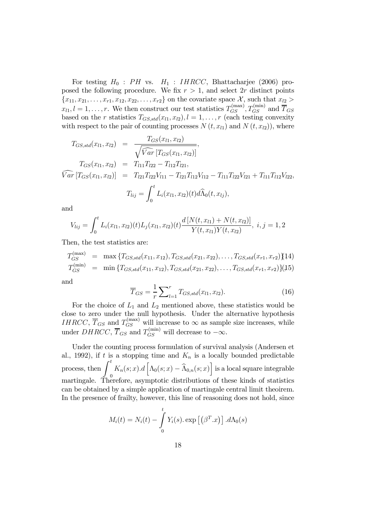For testing  $H_0$ : PH vs.  $H_1$ : IHRCC, Bhattacharjee (2006) proposed the following procedure. We fix  $r > 1$ , and select 2r distinct points  ${x_{11}, x_{21}, \ldots, x_{r1}, x_{12}, x_{22}, \ldots, x_{r2}}$  on the covariate space X, such that  $x_{l2} >$  $x_{l1}, l = 1, \ldots, r$ . We then construct our test statistics  $T_{GS}^{(\text{max})}, T_{GS}^{(\text{min})}$  and  $\overline{T}_{GS}$ based on the *r* statistics  $T_{GS, std}(x_{l1}, x_{l2}), l = 1, ..., r$  (each testing convexity with respect to the pair of counting processes  $N(t, x_{l1})$  and  $N(t, x_{l2})$ , where

$$
T_{GS, std}(x_{l1}, x_{l2}) = \frac{T_{GS}(x_{l1}, x_{l2})}{\sqrt{\widehat{Var}[T_{GS}(x_{l1}, x_{l2})]}}
$$
\n
$$
T_{GS}(x_{l1}, x_{l2}) = T_{l11}T_{l22} - T_{l12}T_{l21},
$$
\n
$$
\widehat{Var}[T_{GS}(x_{l1}, x_{l2})] = T_{l21}T_{l22}V_{l11} - T_{l21}T_{l12}V_{l12} - T_{l11}T_{l22}V_{l21} + T_{l11}T_{l12}V_{l22},
$$
\n
$$
T_{lij} = \int_0^t L_i(x_{l1}, x_{l2})(t) d\widehat{\Lambda}_0(t, x_{lj}),
$$

and

$$
V_{lij} = \int_0^t L_i(x_{l1}, x_{l2})(t) L_j(x_{l1}, x_{l2})(t) \frac{d [N(t, x_{l1}) + N(t, x_{l2})]}{Y(t, x_{l1})Y(t, x_{l2})}, i, j = 1, 2
$$

Then, the test statistics are:

$$
T_{GS}^{(\text{max})} = \max \{ T_{GS, std}(x_{11}, x_{12}), T_{GS, std}(x_{21}, x_{22}), \dots, T_{GS, std}(x_{r1}, x_{r2}) \} \{14\}
$$
  

$$
T_{GS}^{(\text{min})} = \min \{ T_{GS, std}(x_{11}, x_{12}), T_{GS, std}(x_{21}, x_{22}), \dots, T_{GS, std}(x_{r1}, x_{r2}) \} \{15\}
$$

and

$$
\overline{T}_{GS} = \frac{1}{r} \sum_{l=1}^{r} T_{GS, std}(x_{l1}, x_{l2}).
$$
\n(16)

For the choice of  $L_1$  and  $L_2$  mentioned above, these statistics would be close to zero under the null hypothesis. Under the alternative hypothesis *IHRCC*,  $\overline{T}_{GS}$  and  $T_{GS}^{(\text{max})}$  will increase to  $\infty$  as sample size increases, while under  $DHRCC$ ,  $\overline{T}_{GS}$  and  $T_{GS}^{(\text{min})}$  will decrease to  $-\infty$ .

Under the counting process formulation of survival analysis (Andersen et al., 1992), if t is a stopping time and  $K_n$  is a locally bounded predictable process, then  $\int_0^t$  $\boldsymbol{0}$  $K_n(s; x) \cdot d \left[ \Lambda_0(s; x) - \widehat{\Lambda}_{0,n}(s; x) \right]$  is a local square integrable martingale. Therefore, asymptotic distributions of these kinds of statistics can be obtained by a simple application of martingale central limit theoirem. In the presence of frailty, however, this line of reasoning does not hold, since

$$
M_i(t) = N_i(t) - \int_0^t Y_i(s) \exp[(\beta^T \cdot x)] \cdot d\Lambda_0(s)
$$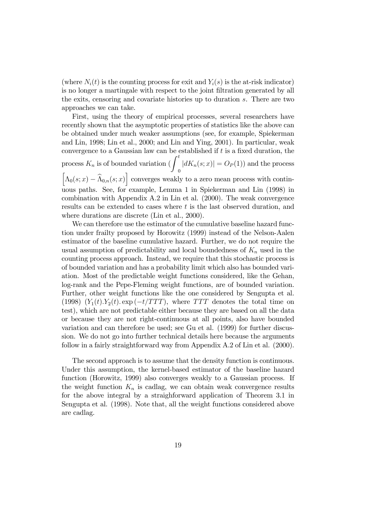(where  $N_i(t)$  is the counting process for exit and  $Y_i(s)$  is the at-risk indicator) is no longer a martingale with respect to the joint filtration generated by all the exits, censoring and covariate histories up to duration  $s$ . There are two approaches we can take.

First, using the theory of empirical processes, several researchers have recently shown that the asymptotic properties of statistics like the above can be obtained under much weaker assumptions (see, for example, Spiekerman and Lin, 1998; Lin et al., 2000; and Lin and Ying, 2001). In particular, weak convergence to a Gaussian law can be established if  $t$  is a fixed duration, the process  $K_n$  is of bounded variation ( $\int_0^t$ 0  $|dK_n(s; x)| = O_P(1)$  and the process  $\left[\Lambda_0(s; x) - \widehat{\Lambda}_{0,n}(s; x)\right]$  converges weakly to a zero mean process with continuous paths. See, for example, Lemma 1 in Spiekerman and Lin (1998) in combination with Appendix A.2 in Lin et al. (2000). The weak convergence results can be extended to cases where  $t$  is the last observed duration, and where durations are discrete (Lin et al., 2000).

We can therefore use the estimator of the cumulative baseline hazard function under frailty proposed by Horowitz (1999) instead of the Nelson-Aalen estimator of the baseline cumulative hazard. Further, we do not require the usual assumption of predictability and local boundedness of  $K_n$  used in the counting process approach. Instead, we require that this stochastic process is of bounded variation and has a probability limit which also has bounded variation. Most of the predictable weight functions considered, like the Gehan, log-rank and the Pepe-Fleming weight functions, are of bounded variation. Further, other weight functions like the one considered by Sengupta et al. (1998)  $(Y_1(t).Y_2(t). \exp(-t/TTT))$ , where TTT denotes the total time on test), which are not predictable either because they are based on all the data or because they are not right-continuous at all points, also have bounded variation and can therefore be used; see Gu et al. (1999) for further discussion. We do not go into further technical details here because the arguments follow in a fairly straightforward way from Appendix A.2 of Lin et al. (2000).

The second approach is to assume that the density function is continuous. Under this assumption, the kernel-based estimator of the baseline hazard function (Horowitz, 1999) also converges weakly to a Gaussian process. If the weight function  $K_n$  is cadlag, we can obtain weak convergence results for the above integral by a straighforward application of Theorem 3.1 in Sengupta et al. (1998). Note that, all the weight functions considered above are cadlag.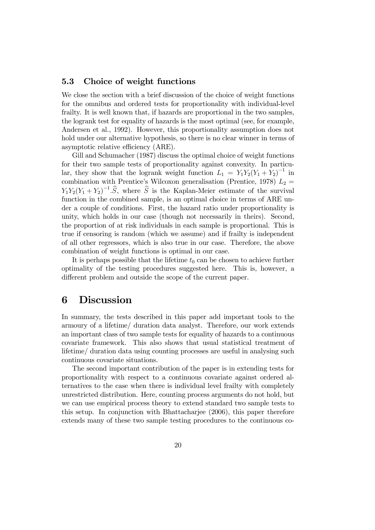### 5.3 Choice of weight functions

We close the section with a brief discussion of the choice of weight functions for the omnibus and ordered tests for proportionality with individual-level frailty. It is well known that, if hazards are proportional in the two samples, the logrank test for equality of hazards is the most optimal (see, for example, Andersen et al., 1992). However, this proportionality assumption does not hold under our alternative hypothesis, so there is no clear winner in terms of asymptotic relative efficiency (ARE).

Gill and Schumacher (1987) discuss the optimal choice of weight functions for their two sample tests of proportionality against convexity. In particular, they show that the logrank weight function  $L_1 = Y_1 Y_2 (Y_1 + Y_2)^{-1}$  in combination with Prentice's Wilcoxon generalisation (Prentice, 1978)  $L_2 =$  $Y_1 Y_2 (Y_1 + Y_2)^{-1} \cdot \widehat{S}$ , where  $\widehat{S}$  is the Kaplan-Meier estimate of the survival function in the combined sample, is an optimal choice in terms of ARE under a couple of conditions. First, the hazard ratio under proportionality is unity, which holds in our case (though not necessarily in theirs). Second, the proportion of at risk individuals in each sample is proportional. This is true if censoring is random (which we assume) and if frailty is independent of all other regressors, which is also true in our case. Therefore, the above combination of weight functions is optimal in our case.

It is perhaps possible that the lifetime  $t_0$  can be chosen to achieve further optimality of the testing procedures suggested here. This is, however, a different problem and outside the scope of the current paper.

### 6 Discussion

In summary, the tests described in this paper add important tools to the armoury of a lifetime/ duration data analyst. Therefore, our work extends an important class of two sample tests for equality of hazards to a continuous covariate framework. This also shows that usual statistical treatment of lifetime/ duration data using counting processes are useful in analysing such continuous covariate situations.

The second important contribution of the paper is in extending tests for proportionality with respect to a continuous covariate against ordered alternatives to the case when there is individual level frailty with completely unrestricted distribution. Here, counting process arguments do not hold, but we can use empirical process theory to extend standard two sample tests to this setup. In conjunction with Bhattacharjee (2006), this paper therefore extends many of these two sample testing procedures to the continuous co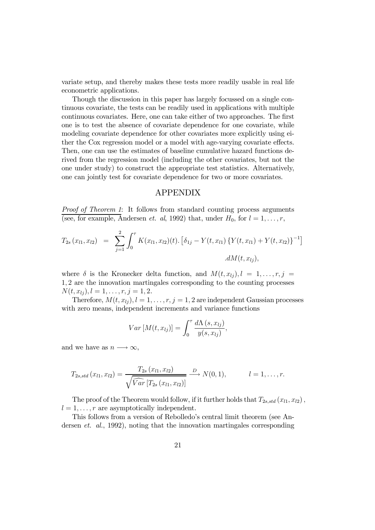variate setup, and thereby makes these tests more readily usable in real life econometric applications.

Though the discussion in this paper has largely focussed on a single continuous covariate, the tests can be readily used in applications with multiple continuous covariates. Here, one can take either of two approaches. The first one is to test the absence of covariate dependence for one covariate, while modeling covariate dependence for other covariates more explicitly using either the Cox regression model or a model with age-varying covariate effects. Then, one can use the estimates of baseline cumulative hazard functions derived from the regression model (including the other covariates, but not the one under study) to construct the appropriate test statistics. Alternatively, one can jointly test for covariate dependence for two or more covariates.

#### APPENDIX

*Proof of Theorem 1*: It follows from standard counting process arguments (see, for example, Andersen *et. al*, 1992) that, under  $H_0$ , for  $l = 1, \ldots, r$ ,

$$
T_{2s}(x_{l1}, x_{l2}) = \sum_{j=1}^{2} \int_{0}^{\tau} K(x_{l1}, x_{l2})(t) \cdot [\delta_{1j} - Y(t, x_{l1}) \{Y(t, x_{l1}) + Y(t, x_{l2})\}^{-1}]
$$

$$
\cdot dM(t, x_{lj}),
$$

where  $\delta$  is the Kronecker delta function, and  $M(t, x_{ij}), l = 1, \ldots, r, j =$ 1 2 are the innovation martingales corresponding to the counting processes  $N(t, x_{1i}), l = 1, \ldots, r, j = 1, 2.$ 

Therefore,  $M(t, x_{lj}), l = 1, \ldots, r, j = 1, 2$  are independent Gaussian processes with zero means, independent increments and variance functions

$$
Var[M(t, x_{lj})] = \int_0^{\tau} \frac{d\Lambda(s, x_{lj})}{y(s, x_{lj})},
$$

and we have as  $n \longrightarrow \infty$ ,

$$
T_{2s, std}(x_{l1}, x_{l2}) = \frac{T_{2s}(x_{l1}, x_{l2})}{\sqrt{\widehat{Var}[T_{2s}(x_{l1}, x_{l2})]}} \xrightarrow{D} N(0, 1), \qquad l = 1, \ldots, r.
$$

The proof of the Theorem would follow, if it further holds that  $T_{2s, std}(x_{l1}, x_{l2})$ ,  $l = 1, \ldots, r$  are asymptotically independent.

This follows from a version of Rebolledo's central limit theorem (see Andersen *et. al.*, 1992), noting that the innovation martingales corresponding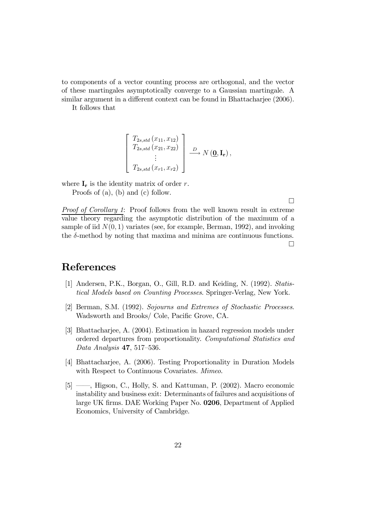to components of a vector counting process are orthogonal, and the vector of these martingales asymptotically converge to a Gaussian martingale. A similar argument in a different context can be found in Bhattacharjee (2006).

It follows that

$$
\begin{bmatrix}\nT_{2s, std}(x_{11}, x_{12})\nT_{2s, std}(x_{21}, x_{22})\n\vdots\nT_{2s, std}(x_{r1}, x_{r2})\n\end{bmatrix} \xrightarrow{D} N(\underline{\mathbf{0}}, \mathbf{I_r}),
$$

where  $\mathbf{I}_r$  is the identity matrix of order r.

Proofs of (a), (b) and (c) follow.

*Proof of Corollary 1*: Proof follows from the well known result in extreme value theory regarding the asymptotic distribution of the maximum of a sample of iid  $N(0, 1)$  variates (see, for example, Berman, 1992), and invoking the  $\delta$ -method by noting that maxima and minima are continuous functions. ¤

# References

- [1] Andersen, P.K., Borgan, O., Gill, R.D. and Keiding, N. (1992). *Statistical Models based on Counting Processes*. Springer-Verlag, New York.
- [2] Berman, S.M. (1992). *Sojourns and Extremes of Stochastic Processes*. Wadsworth and Brooks/ Cole, Pacific Grove, CA.
- [3] Bhattacharjee, A. (2004). Estimation in hazard regression models under ordered departures from proportionality. *Computational Statistics and Data Analysis* 47, 517–536.
- [4] Bhattacharjee, A. (2006). Testing Proportionality in Duration Models with Respect to Continuous Covariates. *Mimeo*.
- [5] ——, Higson, C., Holly, S. and Kattuman, P. (2002). Macro economic instability and business exit: Determinants of failures and acquisitions of large UK firms. DAE Working Paper No. 0206, Department of Applied Economics, University of Cambridge.

¤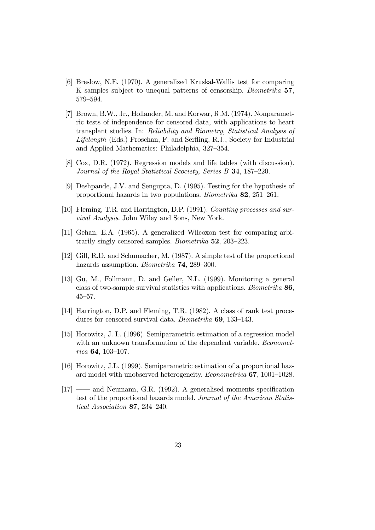- [6] Breslow, N.E. (1970). A generalized Kruskal-Wallis test for comparing K samples subject to unequal patterns of censorship. *Biometrika* 57, 579–594.
- [7] Brown, B.W., Jr., Hollander, M. and Korwar, R.M. (1974). Nonparametric tests of independence for censored data, with applications to heart transplant studies. In: *Reliability and Biometry, Statistical Analysis of Lifelength* (Eds.) Proschan, F. and Serfling, R.J., Society for Industrial and Applied Mathematics: Philadelphia, 327–354.
- [8] Cox, D.R. (1972). Regression models and life tables (with discussion). *Journal of the Royal Statistical Scociety, Series B* 34, 187–220.
- [9] Deshpande, J.V. and Sengupta, D. (1995). Testing for the hypothesis of proportional hazards in two populations. *Biometrika* 82, 251–261.
- [10] Fleming, T.R. and Harrington, D.P. (1991). *Counting processes and survival Analysis*. John Wiley and Sons, New York.
- [11] Gehan, E.A. (1965). A generalized Wilcoxon test for comparing arbitrarily singly censored samples. *Biometrika* 52, 203–223.
- [12] Gill, R.D. and Schumacher, M. (1987). A simple test of the proportional hazards assumption. *Biometrika* 74, 289–300.
- [13] Gu, M., Follmann, D. and Geller, N.L. (1999). Monitoring a general class of two-sample survival statistics with applications. *Biometrika* 86, 45–57.
- [14] Harrington, D.P. and Fleming, T.R. (1982). A class of rank test procedures for censored survival data. *Biometrika* 69, 133–143.
- [15] Horowitz, J. L. (1996). Semiparametric estimation of a regression model with an unknown transformation of the dependent variable. *Econometrica* 64, 103–107.
- [16] Horowitz, J.L. (1999). Semiparametric estimation of a proportional hazard model with unobserved heterogeneity. *Econometrica* 67, 1001–1028.
- $[17]$  —— and Neumann, G.R. (1992). A generalised moments specification test of the proportional hazards model. *Journal of the American Statistical Association* 87, 234–240.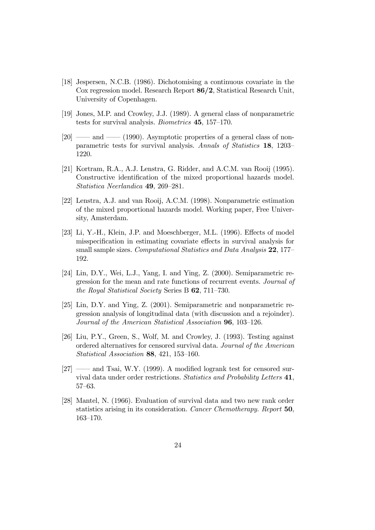- [18] Jespersen, N.C.B. (1986). Dichotomising a continuous covariate in the Cox regression model. Research Report 86/2, Statistical Research Unit, University of Copenhagen.
- [19] Jones, M.P. and Crowley, J.J. (1989). A general class of nonparametric tests for survival analysis. *Biometrics* 45, 157–170.
- $[20] \longrightarrow$  and  $\longrightarrow$  (1990). Asymptotic properties of a general class of nonparametric tests for survival analysis. *Annals of Statistics* 18, 1203– 1220.
- [21] Kortram, R.A., A.J. Lenstra, G. Ridder, and A.C.M. van Rooij (1995). Constructive identification of the mixed proportional hazards model. *Statistica Neerlandica* 49, 269–281.
- [22] Lenstra, A.J. and van Rooij, A.C.M. (1998). Nonparametric estimation of the mixed proportional hazards model. Working paper, Free University, Amsterdam.
- [23] Li, Y.-H., Klein, J.P. and Moeschberger, M.L.  $(1996)$ . Effects of model misspecification in estimating covariate effects in survival analysis for small sample sizes. *Computational Statistics and Data Analysis* 22, 177– 192.
- [24] Lin, D.Y., Wei, L.J., Yang, I. and Ying, Z. (2000). Semiparametric regression for the mean and rate functions of recurrent events. *Journal of the Royal Statistical Society* Series B 62, 711–730.
- [25] Lin, D.Y. and Ying, Z. (2001). Semiparametric and nonparametric regression analysis of longitudinal data (with discussion and a rejoinder). *Journal of the American Statistical Association* 96, 103–126.
- [26] Liu, P.Y., Green, S., Wolf, M. and Crowley, J. (1993). Testing against ordered alternatives for censored survival data. *Journal of the American Statistical Association* 88, 421, 153–160.
- $[27]$  —— and Tsai, W.Y.  $(1999)$ . A modified logrank test for censored survival data under order restrictions. *Statistics and Probability Letters* 41, 57–63.
- [28] Mantel, N. (1966). Evaluation of survival data and two new rank order statistics arising in its consideration. *Cancer Chemotherapy. Report* 50, 163–170.